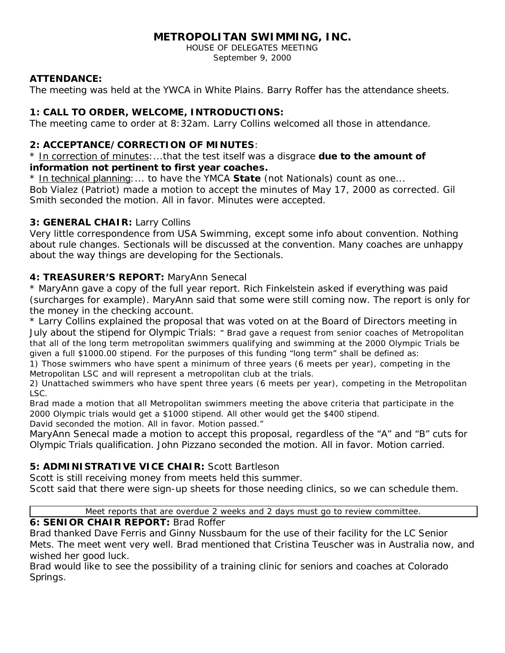# **METROPOLITAN SWIMMING, INC.**

HOUSE OF DELEGATES MEETING September 9, 2000

### **ATTENDANCE:**

The meeting was held at the YWCA in White Plains. Barry Roffer has the attendance sheets.

# **1: CALL TO ORDER, WELCOME, INTRODUCTIONS:**

The meeting came to order at 8:32am. Larry Collins welcomed all those in attendance.

## **2: ACCEPTANCE/CORRECTION OF MINUTES**:

\* In correction of minutes:...that the test itself was a disgrace *due to the amount of information not pertinent to first year coaches.*

\* In technical planning:... to have the YMCA *State* (not Nationals) count as one...

Bob Vialez (Patriot) made a motion to accept the minutes of May 17, 2000 as corrected. Gil Smith seconded the motion. All in favor. Minutes were accepted.

## **3: GENERAL CHAIR:** Larry Collins

Very little correspondence from USA Swimming, except some info about convention. Nothing about rule changes. Sectionals will be discussed at the convention. Many coaches are unhappy about the way things are developing for the Sectionals.

## **4: TREASURER'S REPORT:** MaryAnn Senecal

\* MaryAnn gave a copy of the full year report. Rich Finkelstein asked if everything was paid (surcharges for example). MaryAnn said that some were still coming now. The report is only for the money in the checking account.

\* Larry Collins explained the proposal that was voted on at the Board of Directors meeting in July about the stipend for Olympic Trials: *" Brad gave a request from senior coaches of Metropolitan that all of the long term metropolitan swimmers qualifying and swimming at the 2000 Olympic Trials be given a full \$1000.00 stipend. For the purposes of this funding "long term" shall be defined as:*

*1) Those swimmers who have spent a minimum of three years (6 meets per year), competing in the Metropolitan LSC and will represent a metropolitan club at the trials.*

*2) Unattached swimmers who have spent three years (6 meets per year), competing in the Metropolitan LSC.*

*Brad made a motion that all Metropolitan swimmers meeting the above criteria that participate in the 2000 Olympic trials would get a \$1000 stipend. All other would get the \$400 stipend.*

*David seconded the motion. All in favor. Motion passed."*

MaryAnn Senecal made a motion to accept this proposal, regardless of the "A" and "B" cuts for Olympic Trials qualification. John Pizzano seconded the motion. All in favor. Motion carried.

# **5: ADMINISTRATIVE VICE CHAIR:** Scott Bartleson

Scott is still receiving money from meets held this summer.

Scott said that there were sign-up sheets for those needing clinics, so we can schedule them.

Meet reports that are overdue 2 weeks and 2 days must go to review committee.

# **6: SENIOR CHAIR REPORT:** Brad Roffer

Brad thanked Dave Ferris and Ginny Nussbaum for the use of their facility for the LC Senior Mets. The meet went very well. Brad mentioned that Cristina Teuscher was in Australia now, and wished her good luck.

Brad would like to see the possibility of a training clinic for seniors and coaches at Colorado Springs.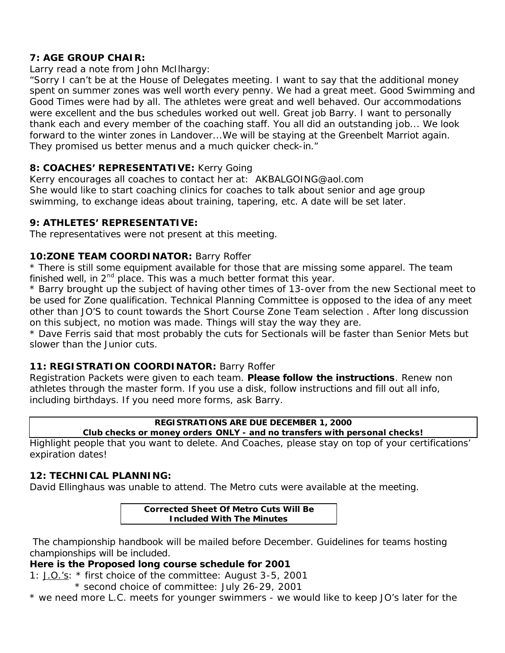### **7: AGE GROUP CHAIR:**

Larry read a note from John McIlhargy:

"*Sorry I can't be at the House of Delegates meeting. I want to say that the additional money spent on summer zones was well worth every penny. We had a great meet. Good Swimming and Good Times were had by all. The athletes were great and well behaved. Our accommodations were excellent and the bus schedules worked out well. Great job Barry. I want to personally thank each and every member of the coaching staff. You all did an outstanding job... We look forward to the winter zones in Landover...We will be staying at the Greenbelt Marriot again. They promised us better menus and a much quicker check-in."*

### **8: COACHES' REPRESENTATIVE:** Kerry Going

Kerry encourages all coaches to contact her at: AKBALGOING@aol.com She would like to start coaching clinics for coaches to talk about senior and age group swimming, to exchange ideas about training, tapering, etc. A date will be set later.

#### **9: ATHLETES' REPRESENTATIVE:**

The representatives were not present at this meeting.

#### **10:ZONE TEAM COORDINATOR:** Barry Roffer

\* There is still some equipment available for those that are missing some apparel. The team finished well, in  $2<sup>nd</sup>$  place. This was a much better format this year.

\* Barry brought up the subject of having other times of 13-over from the new Sectional meet to be used for Zone qualification. Technical Planning Committee is opposed to the idea of any meet other than JO'S to count towards the Short Course Zone Team selection . After long discussion on this subject, no motion was made. Things will stay the way they are.

\* Dave Ferris said that most probably the cuts for Sectionals will be faster than Senior Mets but slower than the Junior cuts.

#### **11: REGISTRATION COORDINATOR:** Barry Roffer

Registration Packets were given to each team. **Please follow the instructions**. Renew non athletes through the master form. If you use a disk, follow instructions and fill out all info, including birthdays. If you need more forms, ask Barry.

#### **REGISTRATIONS ARE DUE DECEMBER 1, 2000**

**Club checks or money orders ONLY - and no transfers with personal checks!**

Highlight people that you want to delete. And Coaches, please stay on top of your certifications' expiration dates!

#### **12: TECHNICAL PLANNING:**

David Ellinghaus was unable to attend. The Metro cuts were available at the meeting.

#### **Corrected Sheet Of Metro Cuts Will Be Included With The Minutes**

 The championship handbook will be mailed before December. Guidelines for teams hosting championships will be included.

#### **Here is the Proposed long course schedule for 2001**

1: J.O.'s: \* first choice of the committee: August 3-5, 2001

\* second choice of committee: July 26-29, 2001

\* we need more L.C. meets for younger swimmers - we would like to keep JO's later for the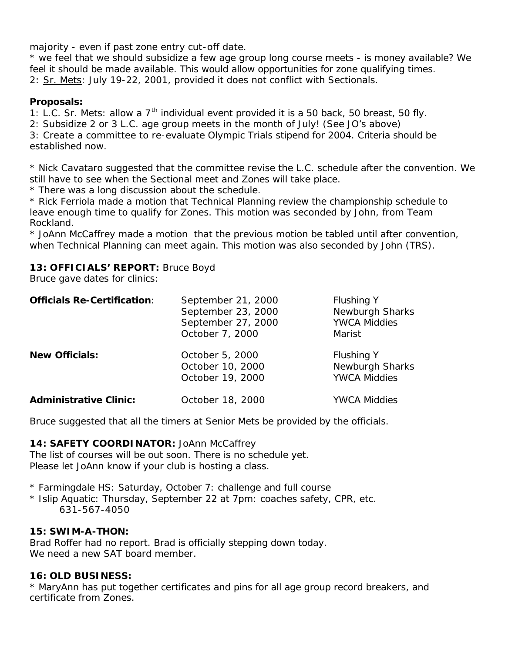majority - even if past zone entry cut-off date.

\* we feel that we should subsidize a few age group long course meets - is money available? We feel it should be made available. This would allow opportunities for zone qualifying times. 2: Sr. Mets: July 19-22, 2001, provided it does not conflict with Sectionals.

#### **Proposals:**

1: L.C. Sr. Mets: allow a  $7<sup>th</sup>$  individual event provided it is a 50 back, 50 breast, 50 fly.

2: Subsidize 2 or 3 L.C. age group meets in the month of July! (See JO's above)

3: Create a committee to re-evaluate Olympic Trials stipend for 2004. Criteria should be established now.

\* Nick Cavataro suggested that the committee revise the L.C. schedule after the convention. We still have to see when the Sectional meet and Zones will take place.

\* There was a long discussion about the schedule.

\* Rick Ferriola made a motion that Technical Planning review the championship schedule to leave enough time to qualify for Zones. This motion was seconded by John, from Team Rockland.

\* JoAnn McCaffrey made a motion that the previous motion be tabled until after convention, when Technical Planning can meet again. This motion was also seconded by John (TRS).

### **13: OFFICIALS' REPORT:** Bruce Boyd

Bruce gave dates for clinics:

| <b>Officials Re-Certification:</b> | September 21, 2000<br>September 23, 2000<br>September 27, 2000<br>October 7, 2000 | <b>Flushing Y</b><br>Newburgh Sharks<br><b>YWCA Middies</b><br>Marist |
|------------------------------------|-----------------------------------------------------------------------------------|-----------------------------------------------------------------------|
| <b>New Officials:</b>              | October 5, 2000<br>October 10, 2000<br>October 19, 2000                           | <b>Flushing Y</b><br>Newburgh Sharks<br><b>YWCA Middies</b>           |
| <b>Administrative Clinic:</b>      | October 18, 2000                                                                  | <b>YWCA Middies</b>                                                   |

Bruce suggested that all the timers at Senior Mets be provided by the officials.

#### 14: **SAFETY COORDINATOR:** JoAnn McCaffrey

The list of courses will be out soon. There is no schedule yet. Please let JoAnn know if your club is hosting a class.

\* Farmingdale HS: Saturday, October 7: challenge and full course

\* Islip Aquatic: Thursday, September 22 at 7pm: coaches safety, CPR, etc. 631-567-4050

#### **15: SWIM-A-THON:**

Brad Roffer had no report. Brad is officially stepping down today. We need a new SAT board member.

#### **16: OLD BUSINESS:**

\* MaryAnn has put together certificates and pins for all age group record breakers, and certificate from Zones.